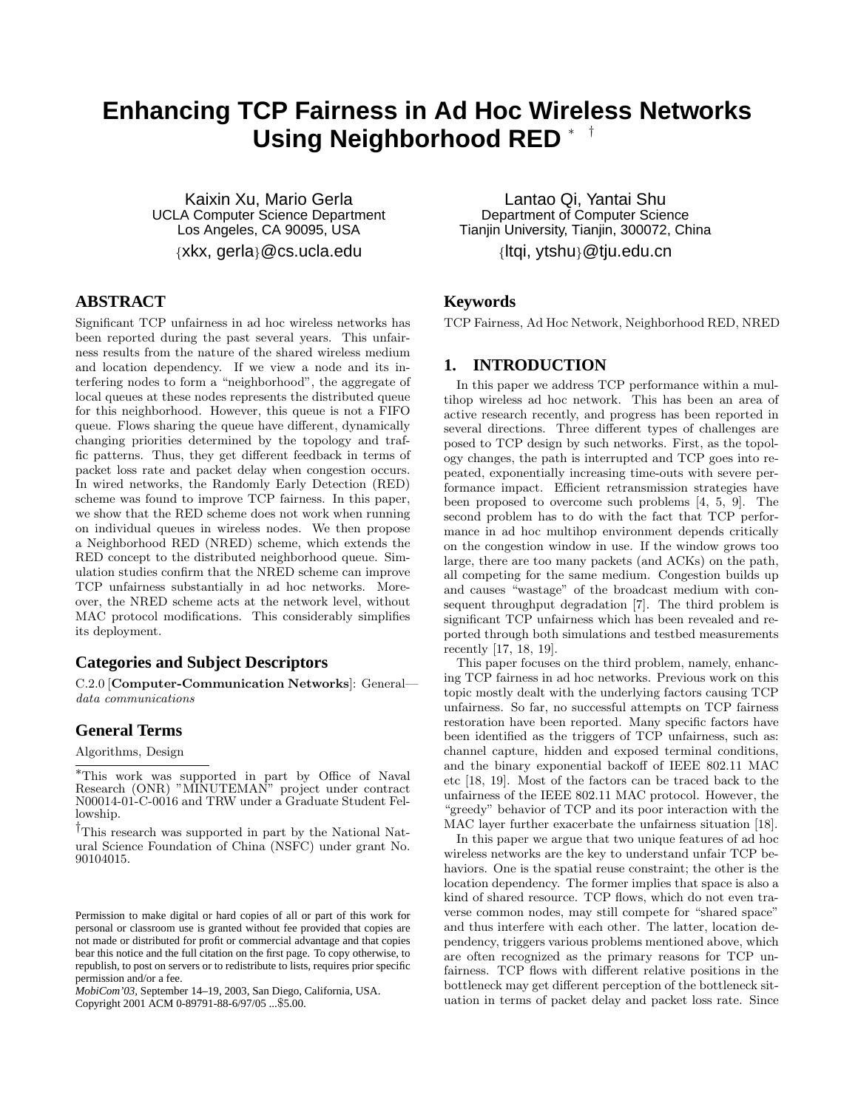# **Enhancing TCP Fairness in Ad Hoc Wireless Networks Using Neighborhood RED** ∗ †

Kaixin Xu, Mario Gerla UCLA Computer Science Department Los Angeles, CA 90095, USA

{xkx, gerla}@cs.ucla.edu

# **ABSTRACT**

Significant TCP unfairness in ad hoc wireless networks has been reported during the past several years. This unfairness results from the nature of the shared wireless medium and location dependency. If we view a node and its interfering nodes to form a "neighborhood", the aggregate of local queues at these nodes represents the distributed queue for this neighborhood. However, this queue is not a FIFO queue. Flows sharing the queue have different, dynamically changing priorities determined by the topology and traffic patterns. Thus, they get different feedback in terms of packet loss rate and packet delay when congestion occurs. In wired networks, the Randomly Early Detection (RED) scheme was found to improve TCP fairness. In this paper, we show that the RED scheme does not work when running on individual queues in wireless nodes. We then propose a Neighborhood RED (NRED) scheme, which extends the RED concept to the distributed neighborhood queue. Simulation studies confirm that the NRED scheme can improve TCP unfairness substantially in ad hoc networks. Moreover, the NRED scheme acts at the network level, without MAC protocol modifications. This considerably simplifies its deployment.

# **Categories and Subject Descriptors**

C.2.0 [Computer-Communication Networks]: General data communications

# **General Terms**

Algorithms, Design

†This research was supported in part by the National Natural Science Foundation of China (NSFC) under grant No. 90104015.

*MobiCom'03,* September 14–19, 2003, San Diego, California, USA. Copyright 2001 ACM 0-89791-88-6/97/05 ...\$5.00.

Lantao Qi, Yantai Shu Department of Computer Science Tianjin University, Tianjin, 300072, China

{ltqi, ytshu}@tju.edu.cn

# **Keywords**

TCP Fairness, Ad Hoc Network, Neighborhood RED, NRED

# **1. INTRODUCTION**

In this paper we address TCP performance within a multihop wireless ad hoc network. This has been an area of active research recently, and progress has been reported in several directions. Three different types of challenges are posed to TCP design by such networks. First, as the topology changes, the path is interrupted and TCP goes into repeated, exponentially increasing time-outs with severe performance impact. Efficient retransmission strategies have been proposed to overcome such problems [4, 5, 9]. The second problem has to do with the fact that TCP performance in ad hoc multihop environment depends critically on the congestion window in use. If the window grows too large, there are too many packets (and ACKs) on the path, all competing for the same medium. Congestion builds up and causes "wastage" of the broadcast medium with consequent throughput degradation [7]. The third problem is significant TCP unfairness which has been revealed and reported through both simulations and testbed measurements recently [17, 18, 19].

This paper focuses on the third problem, namely, enhancing TCP fairness in ad hoc networks. Previous work on this topic mostly dealt with the underlying factors causing TCP unfairness. So far, no successful attempts on TCP fairness restoration have been reported. Many specific factors have been identified as the triggers of TCP unfairness, such as: channel capture, hidden and exposed terminal conditions, and the binary exponential backoff of IEEE 802.11 MAC etc [18, 19]. Most of the factors can be traced back to the unfairness of the IEEE 802.11 MAC protocol. However, the "greedy" behavior of TCP and its poor interaction with the MAC layer further exacerbate the unfairness situation [18].

In this paper we argue that two unique features of ad hoc wireless networks are the key to understand unfair TCP behaviors. One is the spatial reuse constraint; the other is the location dependency. The former implies that space is also a kind of shared resource. TCP flows, which do not even traverse common nodes, may still compete for "shared space" and thus interfere with each other. The latter, location dependency, triggers various problems mentioned above, which are often recognized as the primary reasons for TCP unfairness. TCP flows with different relative positions in the bottleneck may get different perception of the bottleneck situation in terms of packet delay and packet loss rate. Since

<sup>∗</sup>This work was supported in part by Office of Naval Research (ONR) "MINUTEMAN" project under contract N00014-01-C-0016 and TRW under a Graduate Student Fellowship.

Permission to make digital or hard copies of all or part of this work for personal or classroom use is granted without fee provided that copies are not made or distributed for profit or commercial advantage and that copies bear this notice and the full citation on the first page. To copy otherwise, to republish, to post on servers or to redistribute to lists, requires prior specific permission and/or a fee.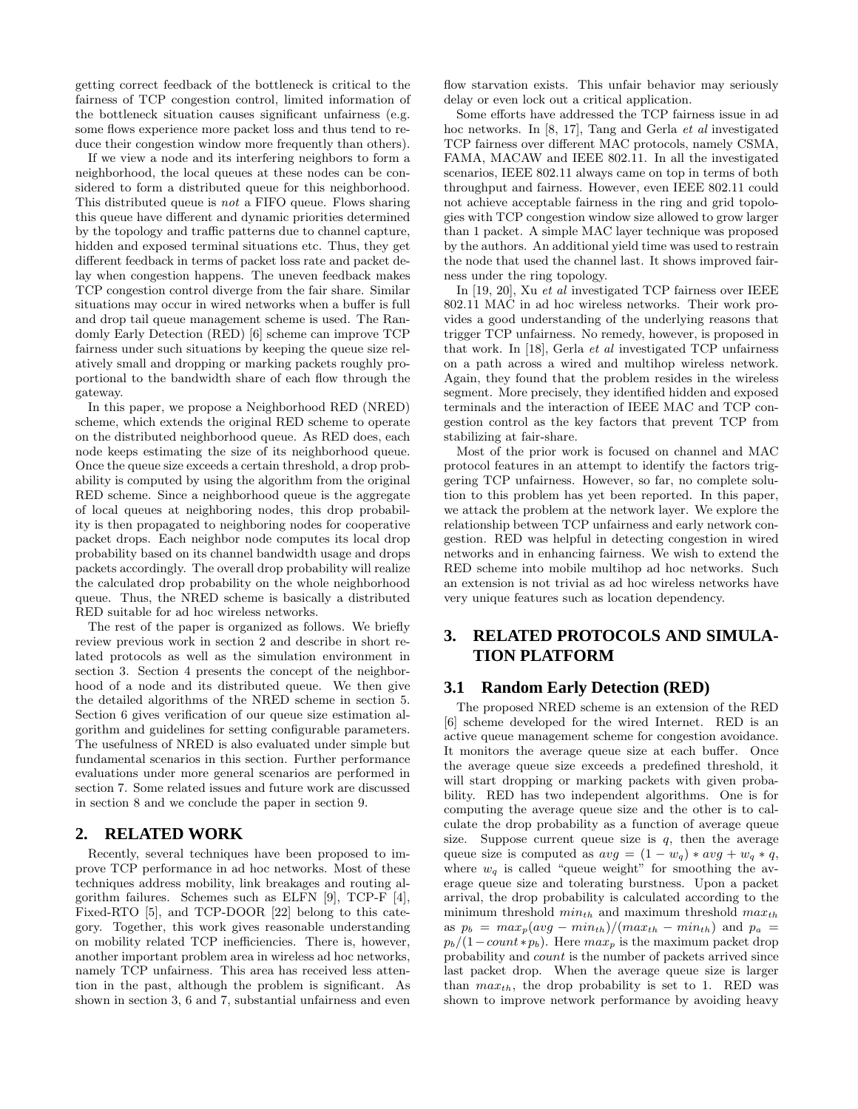getting correct feedback of the bottleneck is critical to the fairness of TCP congestion control, limited information of the bottleneck situation causes significant unfairness (e.g. some flows experience more packet loss and thus tend to reduce their congestion window more frequently than others).

If we view a node and its interfering neighbors to form a neighborhood, the local queues at these nodes can be considered to form a distributed queue for this neighborhood. This distributed queue is not a FIFO queue. Flows sharing this queue have different and dynamic priorities determined by the topology and traffic patterns due to channel capture, hidden and exposed terminal situations etc. Thus, they get different feedback in terms of packet loss rate and packet delay when congestion happens. The uneven feedback makes TCP congestion control diverge from the fair share. Similar situations may occur in wired networks when a buffer is full and drop tail queue management scheme is used. The Randomly Early Detection (RED) [6] scheme can improve TCP fairness under such situations by keeping the queue size relatively small and dropping or marking packets roughly proportional to the bandwidth share of each flow through the gateway.

In this paper, we propose a Neighborhood RED (NRED) scheme, which extends the original RED scheme to operate on the distributed neighborhood queue. As RED does, each node keeps estimating the size of its neighborhood queue. Once the queue size exceeds a certain threshold, a drop probability is computed by using the algorithm from the original RED scheme. Since a neighborhood queue is the aggregate of local queues at neighboring nodes, this drop probability is then propagated to neighboring nodes for cooperative packet drops. Each neighbor node computes its local drop probability based on its channel bandwidth usage and drops packets accordingly. The overall drop probability will realize the calculated drop probability on the whole neighborhood queue. Thus, the NRED scheme is basically a distributed RED suitable for ad hoc wireless networks.

The rest of the paper is organized as follows. We briefly review previous work in section 2 and describe in short related protocols as well as the simulation environment in section 3. Section 4 presents the concept of the neighborhood of a node and its distributed queue. We then give the detailed algorithms of the NRED scheme in section 5. Section 6 gives verification of our queue size estimation algorithm and guidelines for setting configurable parameters. The usefulness of NRED is also evaluated under simple but fundamental scenarios in this section. Further performance evaluations under more general scenarios are performed in section 7. Some related issues and future work are discussed in section 8 and we conclude the paper in section 9.

# **2. RELATED WORK**

Recently, several techniques have been proposed to improve TCP performance in ad hoc networks. Most of these techniques address mobility, link breakages and routing algorithm failures. Schemes such as ELFN [9], TCP-F [4], Fixed-RTO [5], and TCP-DOOR [22] belong to this category. Together, this work gives reasonable understanding on mobility related TCP inefficiencies. There is, however, another important problem area in wireless ad hoc networks, namely TCP unfairness. This area has received less attention in the past, although the problem is significant. As shown in section 3, 6 and 7, substantial unfairness and even flow starvation exists. This unfair behavior may seriously delay or even lock out a critical application.

Some efforts have addressed the TCP fairness issue in ad hoc networks. In [8, 17], Tang and Gerla et al investigated TCP fairness over different MAC protocols, namely CSMA, FAMA, MACAW and IEEE 802.11. In all the investigated scenarios, IEEE 802.11 always came on top in terms of both throughput and fairness. However, even IEEE 802.11 could not achieve acceptable fairness in the ring and grid topologies with TCP congestion window size allowed to grow larger than 1 packet. A simple MAC layer technique was proposed by the authors. An additional yield time was used to restrain the node that used the channel last. It shows improved fairness under the ring topology.

In [19, 20], Xu et al investigated TCP fairness over IEEE 802.11 MAC in ad hoc wireless networks. Their work provides a good understanding of the underlying reasons that trigger TCP unfairness. No remedy, however, is proposed in that work. In [18], Gerla et al investigated TCP unfairness on a path across a wired and multihop wireless network. Again, they found that the problem resides in the wireless segment. More precisely, they identified hidden and exposed terminals and the interaction of IEEE MAC and TCP congestion control as the key factors that prevent TCP from stabilizing at fair-share.

Most of the prior work is focused on channel and MAC protocol features in an attempt to identify the factors triggering TCP unfairness. However, so far, no complete solution to this problem has yet been reported. In this paper, we attack the problem at the network layer. We explore the relationship between TCP unfairness and early network congestion. RED was helpful in detecting congestion in wired networks and in enhancing fairness. We wish to extend the RED scheme into mobile multihop ad hoc networks. Such an extension is not trivial as ad hoc wireless networks have very unique features such as location dependency.

# **3. RELATED PROTOCOLS AND SIMULA-TION PLATFORM**

# **3.1 Random Early Detection (RED)**

The proposed NRED scheme is an extension of the RED [6] scheme developed for the wired Internet. RED is an active queue management scheme for congestion avoidance. It monitors the average queue size at each buffer. Once the average queue size exceeds a predefined threshold, it will start dropping or marking packets with given probability. RED has two independent algorithms. One is for computing the average queue size and the other is to calculate the drop probability as a function of average queue size. Suppose current queue size is  $q$ , then the average queue size is computed as  $avg = (1 - w_q) * avg + w_q * q$ , where  $w_q$  is called "queue weight" for smoothing the average queue size and tolerating burstness. Upon a packet arrival, the drop probability is calculated according to the minimum threshold  $min_{th}$  and maximum threshold  $max_{th}$ as  $p_b = max_p(avg - min_{th})/(max_{th} - min_{th})$  and  $p_a =$  $p_b/(1$  – count \* $p_b$ ). Here  $max_p$  is the maximum packet drop probability and count is the number of packets arrived since last packet drop. When the average queue size is larger than  $max_{th}$ , the drop probability is set to 1. RED was shown to improve network performance by avoiding heavy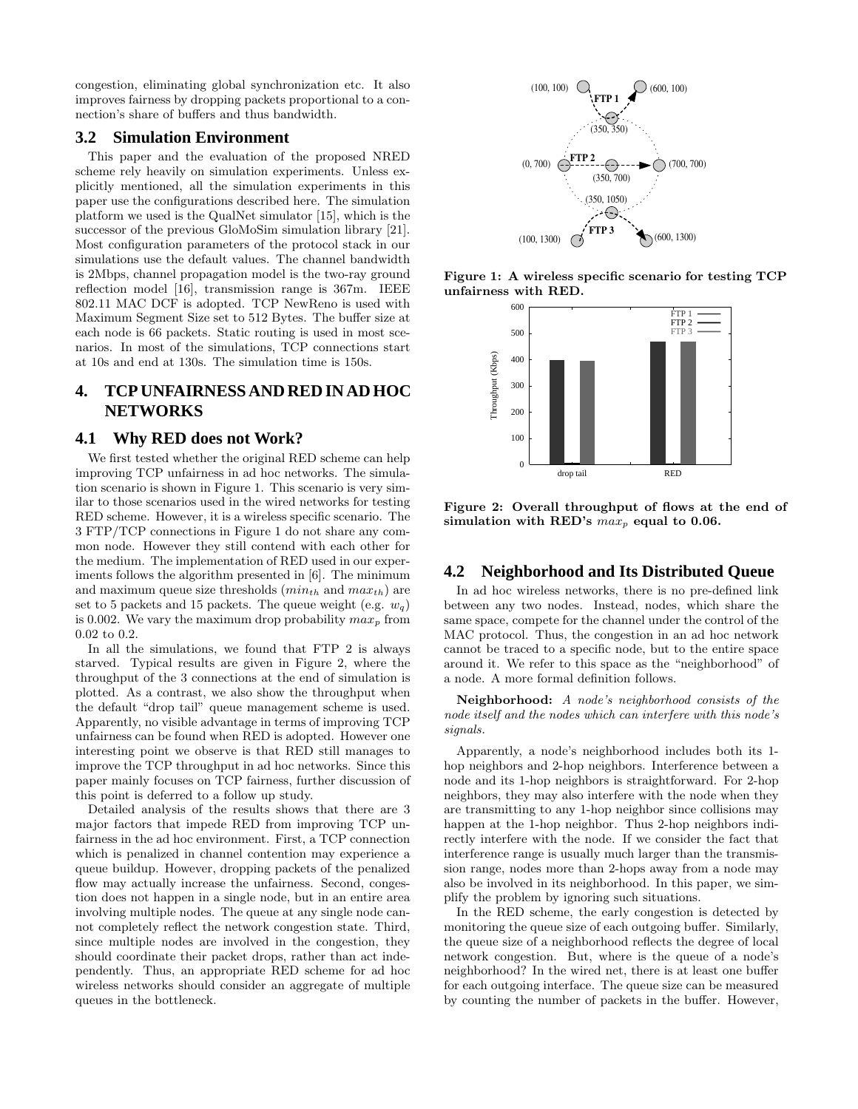congestion, eliminating global synchronization etc. It also improves fairness by dropping packets proportional to a connection's share of buffers and thus bandwidth.

# **3.2 Simulation Environment**

This paper and the evaluation of the proposed NRED scheme rely heavily on simulation experiments. Unless explicitly mentioned, all the simulation experiments in this paper use the configurations described here. The simulation platform we used is the QualNet simulator [15], which is the successor of the previous GloMoSim simulation library [21]. Most configuration parameters of the protocol stack in our simulations use the default values. The channel bandwidth is 2Mbps, channel propagation model is the two-ray ground reflection model [16], transmission range is 367m. IEEE 802.11 MAC DCF is adopted. TCP NewReno is used with Maximum Segment Size set to 512 Bytes. The buffer size at each node is 66 packets. Static routing is used in most scenarios. In most of the simulations, TCP connections start at 10s and end at 130s. The simulation time is 150s.

# **4. TCP UNFAIRNESS AND RED IN AD HOC NETWORKS**

# **4.1 Why RED does not Work?**

We first tested whether the original RED scheme can help improving TCP unfairness in ad hoc networks. The simulation scenario is shown in Figure 1. This scenario is very similar to those scenarios used in the wired networks for testing RED scheme. However, it is a wireless specific scenario. The 3 FTP/TCP connections in Figure 1 do not share any common node. However they still contend with each other for the medium. The implementation of RED used in our experiments follows the algorithm presented in [6]. The minimum and maximum queue size thresholds  $(min_{th}$  and  $max_{th}$ ) are set to 5 packets and 15 packets. The queue weight (e.g.  $w_q$ ) is 0.002. We vary the maximum drop probability  $max_p$  from 0.02 to 0.2.

In all the simulations, we found that FTP 2 is always starved. Typical results are given in Figure 2, where the throughput of the 3 connections at the end of simulation is plotted. As a contrast, we also show the throughput when the default "drop tail" queue management scheme is used. Apparently, no visible advantage in terms of improving TCP unfairness can be found when RED is adopted. However one interesting point we observe is that RED still manages to improve the TCP throughput in ad hoc networks. Since this paper mainly focuses on TCP fairness, further discussion of this point is deferred to a follow up study.

Detailed analysis of the results shows that there are 3 major factors that impede RED from improving TCP unfairness in the ad hoc environment. First, a TCP connection which is penalized in channel contention may experience a queue buildup. However, dropping packets of the penalized flow may actually increase the unfairness. Second, congestion does not happen in a single node, but in an entire area involving multiple nodes. The queue at any single node cannot completely reflect the network congestion state. Third, since multiple nodes are involved in the congestion, they should coordinate their packet drops, rather than act independently. Thus, an appropriate RED scheme for ad hoc wireless networks should consider an aggregate of multiple queues in the bottleneck.



Figure 1: A wireless specific scenario for testing TCP unfairness with RED.



Figure 2: Overall throughput of flows at the end of simulation with RED's  $max_p$  equal to 0.06.

# **4.2 Neighborhood and Its Distributed Queue**

In ad hoc wireless networks, there is no pre-defined link between any two nodes. Instead, nodes, which share the same space, compete for the channel under the control of the MAC protocol. Thus, the congestion in an ad hoc network cannot be traced to a specific node, but to the entire space around it. We refer to this space as the "neighborhood" of a node. A more formal definition follows.

Neighborhood: A node's neighborhood consists of the node itself and the nodes which can interfere with this node's signals.

Apparently, a node's neighborhood includes both its 1 hop neighbors and 2-hop neighbors. Interference between a node and its 1-hop neighbors is straightforward. For 2-hop neighbors, they may also interfere with the node when they are transmitting to any 1-hop neighbor since collisions may happen at the 1-hop neighbor. Thus 2-hop neighbors indirectly interfere with the node. If we consider the fact that interference range is usually much larger than the transmission range, nodes more than 2-hops away from a node may also be involved in its neighborhood. In this paper, we simplify the problem by ignoring such situations.

In the RED scheme, the early congestion is detected by monitoring the queue size of each outgoing buffer. Similarly, the queue size of a neighborhood reflects the degree of local network congestion. But, where is the queue of a node's neighborhood? In the wired net, there is at least one buffer for each outgoing interface. The queue size can be measured by counting the number of packets in the buffer. However,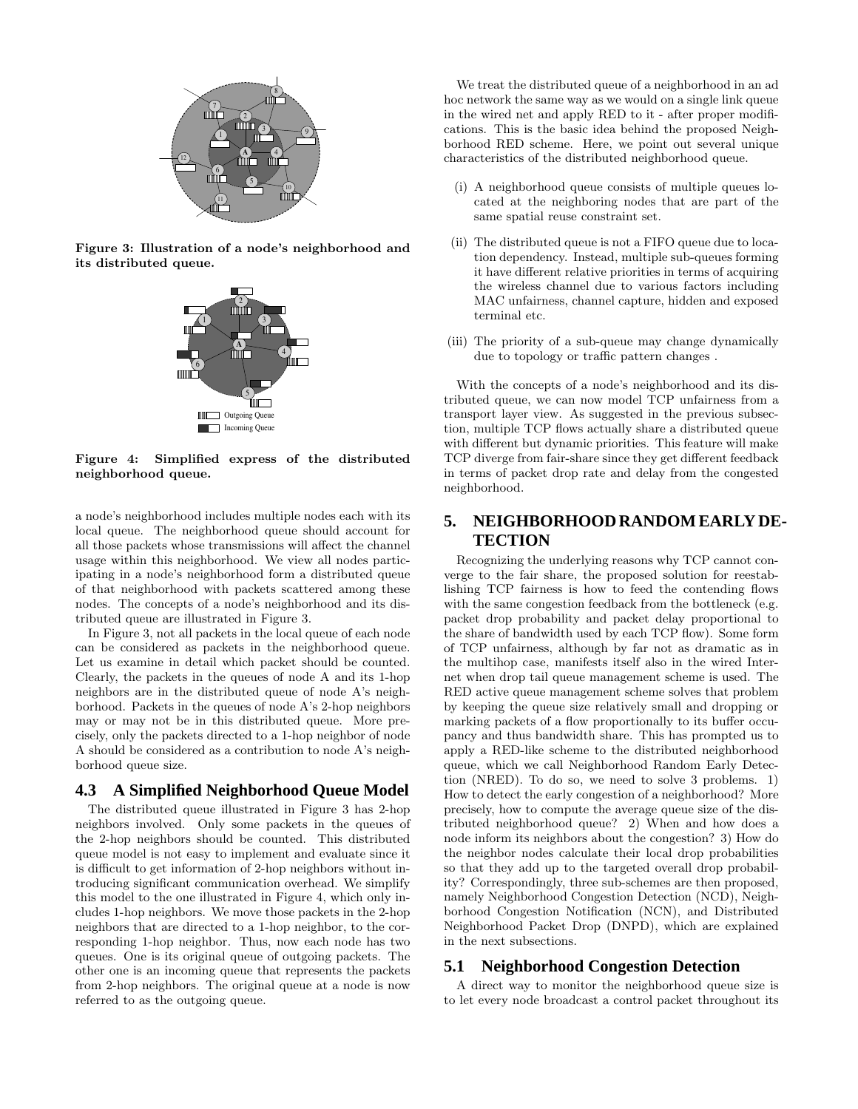

Figure 3: Illustration of a node's neighborhood and its distributed queue.



Figure 4: Simplified express of the distributed neighborhood queue.

a node's neighborhood includes multiple nodes each with its local queue. The neighborhood queue should account for all those packets whose transmissions will affect the channel usage within this neighborhood. We view all nodes participating in a node's neighborhood form a distributed queue of that neighborhood with packets scattered among these nodes. The concepts of a node's neighborhood and its distributed queue are illustrated in Figure 3.

In Figure 3, not all packets in the local queue of each node can be considered as packets in the neighborhood queue. Let us examine in detail which packet should be counted. Clearly, the packets in the queues of node A and its 1-hop neighbors are in the distributed queue of node A's neighborhood. Packets in the queues of node A's 2-hop neighbors may or may not be in this distributed queue. More precisely, only the packets directed to a 1-hop neighbor of node A should be considered as a contribution to node A's neighborhood queue size.

# **4.3 A Simplified Neighborhood Queue Model**

The distributed queue illustrated in Figure 3 has 2-hop neighbors involved. Only some packets in the queues of the 2-hop neighbors should be counted. This distributed queue model is not easy to implement and evaluate since it is difficult to get information of 2-hop neighbors without introducing significant communication overhead. We simplify this model to the one illustrated in Figure 4, which only includes 1-hop neighbors. We move those packets in the 2-hop neighbors that are directed to a 1-hop neighbor, to the corresponding 1-hop neighbor. Thus, now each node has two queues. One is its original queue of outgoing packets. The other one is an incoming queue that represents the packets from 2-hop neighbors. The original queue at a node is now referred to as the outgoing queue.

We treat the distributed queue of a neighborhood in an ad hoc network the same way as we would on a single link queue in the wired net and apply RED to it - after proper modifications. This is the basic idea behind the proposed Neighborhood RED scheme. Here, we point out several unique characteristics of the distributed neighborhood queue.

- (i) A neighborhood queue consists of multiple queues located at the neighboring nodes that are part of the same spatial reuse constraint set.
- (ii) The distributed queue is not a FIFO queue due to location dependency. Instead, multiple sub-queues forming it have different relative priorities in terms of acquiring the wireless channel due to various factors including MAC unfairness, channel capture, hidden and exposed terminal etc.
- (iii) The priority of a sub-queue may change dynamically due to topology or traffic pattern changes .

With the concepts of a node's neighborhood and its distributed queue, we can now model TCP unfairness from a transport layer view. As suggested in the previous subsection, multiple TCP flows actually share a distributed queue with different but dynamic priorities. This feature will make TCP diverge from fair-share since they get different feedback in terms of packet drop rate and delay from the congested neighborhood.

# **5. NEIGHBORHOOD RANDOM EARLY DE-TECTION**

Recognizing the underlying reasons why TCP cannot converge to the fair share, the proposed solution for reestablishing TCP fairness is how to feed the contending flows with the same congestion feedback from the bottleneck (e.g. packet drop probability and packet delay proportional to the share of bandwidth used by each TCP flow). Some form of TCP unfairness, although by far not as dramatic as in the multihop case, manifests itself also in the wired Internet when drop tail queue management scheme is used. The RED active queue management scheme solves that problem by keeping the queue size relatively small and dropping or marking packets of a flow proportionally to its buffer occupancy and thus bandwidth share. This has prompted us to apply a RED-like scheme to the distributed neighborhood queue, which we call Neighborhood Random Early Detection (NRED). To do so, we need to solve 3 problems. 1) How to detect the early congestion of a neighborhood? More precisely, how to compute the average queue size of the distributed neighborhood queue? 2) When and how does a node inform its neighbors about the congestion? 3) How do the neighbor nodes calculate their local drop probabilities so that they add up to the targeted overall drop probability? Correspondingly, three sub-schemes are then proposed, namely Neighborhood Congestion Detection (NCD), Neighborhood Congestion Notification (NCN), and Distributed Neighborhood Packet Drop (DNPD), which are explained in the next subsections.

# **5.1 Neighborhood Congestion Detection**

A direct way to monitor the neighborhood queue size is to let every node broadcast a control packet throughout its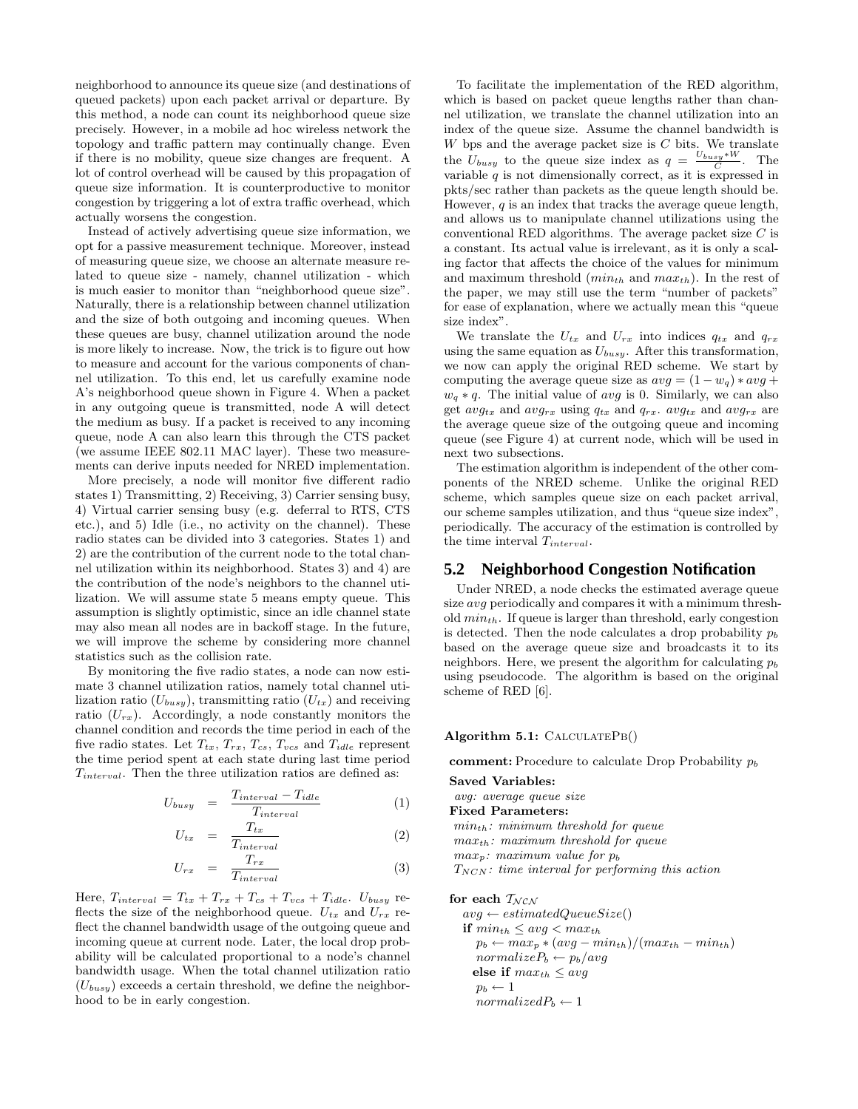neighborhood to announce its queue size (and destinations of queued packets) upon each packet arrival or departure. By this method, a node can count its neighborhood queue size precisely. However, in a mobile ad hoc wireless network the topology and traffic pattern may continually change. Even if there is no mobility, queue size changes are frequent. A lot of control overhead will be caused by this propagation of queue size information. It is counterproductive to monitor congestion by triggering a lot of extra traffic overhead, which actually worsens the congestion.

Instead of actively advertising queue size information, we opt for a passive measurement technique. Moreover, instead of measuring queue size, we choose an alternate measure related to queue size - namely, channel utilization - which is much easier to monitor than "neighborhood queue size". Naturally, there is a relationship between channel utilization and the size of both outgoing and incoming queues. When these queues are busy, channel utilization around the node is more likely to increase. Now, the trick is to figure out how to measure and account for the various components of channel utilization. To this end, let us carefully examine node A's neighborhood queue shown in Figure 4. When a packet in any outgoing queue is transmitted, node A will detect the medium as busy. If a packet is received to any incoming queue, node A can also learn this through the CTS packet (we assume IEEE 802.11 MAC layer). These two measurements can derive inputs needed for NRED implementation.

More precisely, a node will monitor five different radio states 1) Transmitting, 2) Receiving, 3) Carrier sensing busy, 4) Virtual carrier sensing busy (e.g. deferral to RTS, CTS etc.), and 5) Idle (i.e., no activity on the channel). These radio states can be divided into 3 categories. States 1) and 2) are the contribution of the current node to the total channel utilization within its neighborhood. States 3) and 4) are the contribution of the node's neighbors to the channel utilization. We will assume state 5 means empty queue. This assumption is slightly optimistic, since an idle channel state may also mean all nodes are in backoff stage. In the future, we will improve the scheme by considering more channel statistics such as the collision rate.

By monitoring the five radio states, a node can now estimate 3 channel utilization ratios, namely total channel utilization ratio  $(U_{busy})$ , transmitting ratio  $(U_{tx})$  and receiving ratio  $(U_{rx})$ . Accordingly, a node constantly monitors the channel condition and records the time period in each of the five radio states. Let  $T_{tx}$ ,  $T_{rx}$ ,  $T_{cs}$ ,  $T_{vcs}$  and  $T_{idle}$  represent the time period spent at each state during last time period  $T_{interval}$ . Then the three utilization ratios are defined as:

$$
U_{busy} = \frac{T_{interval} - T_{idle}}{T_{interval}}
$$
\n(1)

$$
U_{tx} = \frac{T_{tx}}{T_{interval}}
$$
 (2)

$$
U_{rx} = \frac{T_{rx}}{T_{interval}}
$$
 (3)

Here,  $T_{interval} = T_{tx} + T_{rx} + T_{cs} + T_{vcs} + T_{idle}$ .  $U_{busy}$  reflects the size of the neighborhood queue.  $U_{tx}$  and  $U_{rx}$  reflect the channel bandwidth usage of the outgoing queue and incoming queue at current node. Later, the local drop probability will be calculated proportional to a node's channel bandwidth usage. When the total channel utilization ratio  $(U_{busy})$  exceeds a certain threshold, we define the neighborhood to be in early congestion.

To facilitate the implementation of the RED algorithm, which is based on packet queue lengths rather than channel utilization, we translate the channel utilization into an index of the queue size. Assume the channel bandwidth is  $W$  bps and the average packet size is  $C$  bits. We translate the  $U_{busy}$  to the queue size index as  $q = \frac{U_{busy}*W}{C}$ . The variable  $q$  is not dimensionally correct, as it is expressed in pkts/sec rather than packets as the queue length should be. However,  $q$  is an index that tracks the average queue length, and allows us to manipulate channel utilizations using the conventional RED algorithms. The average packet size  $C$  is a constant. Its actual value is irrelevant, as it is only a scaling factor that affects the choice of the values for minimum and maximum threshold  $(min_{th}$  and  $max_{th}$ ). In the rest of the paper, we may still use the term "number of packets" for ease of explanation, where we actually mean this "queue size index".

We translate the  $U_{tx}$  and  $U_{rx}$  into indices  $q_{tx}$  and  $q_{rx}$ using the same equation as  $U_{busy}$ . After this transformation, we now can apply the original RED scheme. We start by computing the average queue size as  $avg = (1 - w_q) * avg +$  $w_q * q$ . The initial value of avg is 0. Similarly, we can also get  $avg_{tx}$  and  $avg_{rx}$  using  $q_{tx}$  and  $q_{rx}$ .  $avg_{tx}$  and  $avg_{rx}$  are the average queue size of the outgoing queue and incoming queue (see Figure 4) at current node, which will be used in next two subsections.

The estimation algorithm is independent of the other components of the NRED scheme. Unlike the original RED scheme, which samples queue size on each packet arrival, our scheme samples utilization, and thus "queue size index", periodically. The accuracy of the estimation is controlled by the time interval  $T_{interval}$ .

# **5.2 Neighborhood Congestion Notification**

Under NRED, a node checks the estimated average queue size avg periodically and compares it with a minimum threshold  $min_{th}$ . If queue is larger than threshold, early congestion is detected. Then the node calculates a drop probability  $p_b$ based on the average queue size and broadcasts it to its neighbors. Here, we present the algorithm for calculating  $p_b$ using pseudocode. The algorithm is based on the original scheme of RED [6].

#### Algorithm  $5.1:$  CALCULATEPB()

**comment:** Procedure to calculate Drop Probability  $p_b$ 

Saved Variables: avg: average queue size Fixed Parameters:  $min_{th}$ : minimum threshold for queue  $max_{th}$ : maximum threshold for queue  $max_p$ : maximum value for  $p_b$  $T_{NCN}$ : time interval for performing this action

for each  $\mathcal{T}_{\mathcal{N}\mathcal{CN}}$  $\mathit{avg} \gets estimatedQueueSize()$ if  $min_{th} \leq avg < max_{th}$  $p_b \leftarrow max_p * (avg - min_{th})/(max_{th} - min_{th})$  $normalize P_b \leftarrow p_b/avg$ else if  $max_{th} \leq avg$  $p_b \leftarrow 1$  $normalizedP_b \leftarrow 1$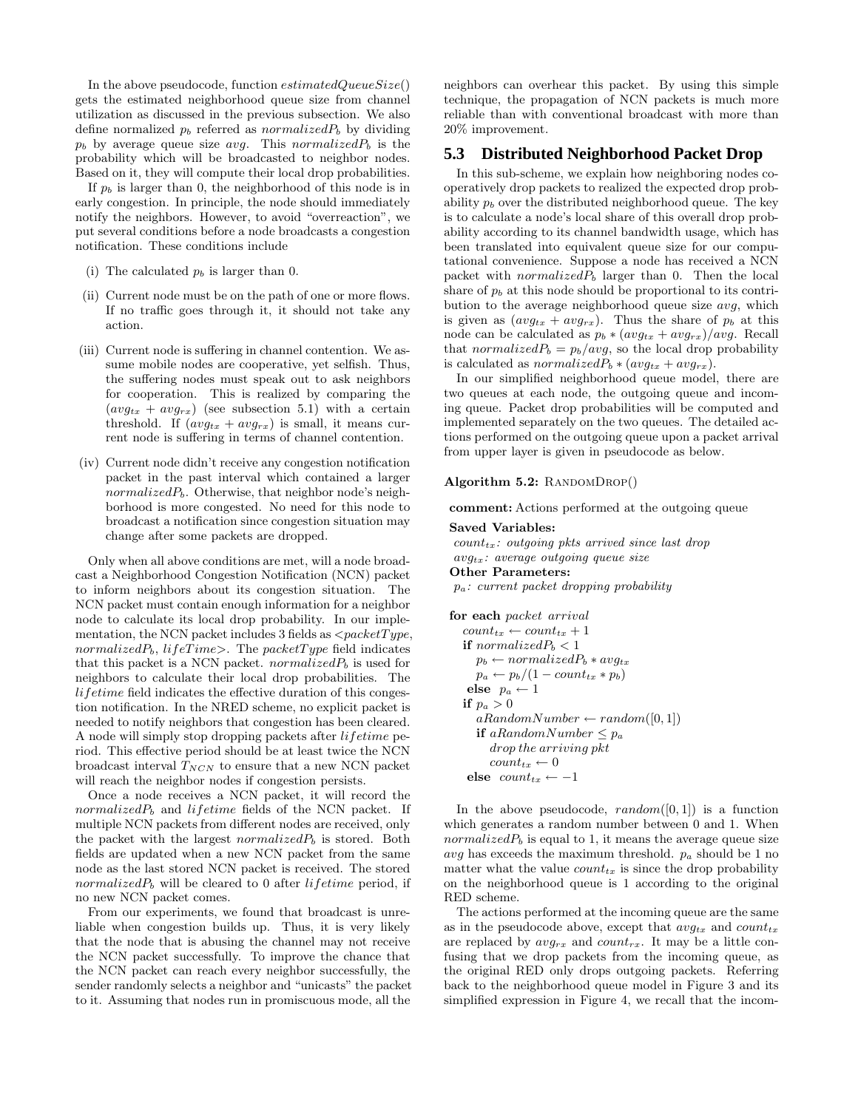In the above pseudocode, function  $estimatedQueueSize()$ gets the estimated neighborhood queue size from channel utilization as discussed in the previous subsection. We also define normalized  $p_b$  referred as *normalized* $P_b$  by dividing  $p_b$  by average queue size avg. This normalized  $P_b$  is the probability which will be broadcasted to neighbor nodes. Based on it, they will compute their local drop probabilities.

If  $p_b$  is larger than 0, the neighborhood of this node is in early congestion. In principle, the node should immediately notify the neighbors. However, to avoid "overreaction", we put several conditions before a node broadcasts a congestion notification. These conditions include

- (i) The calculated  $p_b$  is larger than 0.
- (ii) Current node must be on the path of one or more flows. If no traffic goes through it, it should not take any action.
- (iii) Current node is suffering in channel contention. We assume mobile nodes are cooperative, yet selfish. Thus, the suffering nodes must speak out to ask neighbors for cooperation. This is realized by comparing the  $(avg_{tx} + avg_{rx})$  (see subsection 5.1) with a certain threshold. If  $(avg_{tx} + avg_{rx})$  is small, it means current node is suffering in terms of channel contention.
- (iv) Current node didn't receive any congestion notification packet in the past interval which contained a larger normalized $P_b$ . Otherwise, that neighbor node's neighborhood is more congested. No need for this node to broadcast a notification since congestion situation may change after some packets are dropped.

Only when all above conditions are met, will a node broadcast a Neighborhood Congestion Notification (NCN) packet to inform neighbors about its congestion situation. The NCN packet must contain enough information for a neighbor node to calculate its local drop probability. In our implementation, the NCN packet includes 3 fields as  $\langle packetType,$ normalized $P_b$ , lifeTime>. The packetType field indicates that this packet is a NCN packet. *normalized* $P_b$  is used for neighbors to calculate their local drop probabilities. The lifetime field indicates the effective duration of this congestion notification. In the NRED scheme, no explicit packet is needed to notify neighbors that congestion has been cleared. A node will simply stop dropping packets after lifetime period. This effective period should be at least twice the NCN broadcast interval  $T_{NCN}$  to ensure that a new NCN packet will reach the neighbor nodes if congestion persists.

Once a node receives a NCN packet, it will record the normalized $P_b$  and lifetime fields of the NCN packet. If multiple NCN packets from different nodes are received, only the packet with the largest normalized $P_b$  is stored. Both fields are updated when a new NCN packet from the same node as the last stored NCN packet is received. The stored normalized $P_b$  will be cleared to 0 after *lifetime* period, if no new NCN packet comes.

From our experiments, we found that broadcast is unreliable when congestion builds up. Thus, it is very likely that the node that is abusing the channel may not receive the NCN packet successfully. To improve the chance that the NCN packet can reach every neighbor successfully, the sender randomly selects a neighbor and "unicasts" the packet to it. Assuming that nodes run in promiscuous mode, all the neighbors can overhear this packet. By using this simple technique, the propagation of NCN packets is much more reliable than with conventional broadcast with more than 20% improvement.

# **5.3 Distributed Neighborhood Packet Drop**

In this sub-scheme, we explain how neighboring nodes cooperatively drop packets to realized the expected drop probability  $p_b$  over the distributed neighborhood queue. The key is to calculate a node's local share of this overall drop probability according to its channel bandwidth usage, which has been translated into equivalent queue size for our computational convenience. Suppose a node has received a NCN packet with *normalized* $P_b$  larger than 0. Then the local share of  $p<sub>b</sub>$  at this node should be proportional to its contribution to the average neighborhood queue size avg, which is given as  $(avg_{tx} + avg_{rx})$ . Thus the share of  $p_b$  at this node can be calculated as  $p_b * (avg_{tx} + avg_{rx})/avg$ . Recall that *normalized* $P_b = p_b/avg$ , so the local drop probability is calculated as *normalized* $P_b * (avg_{tx} + avg_{rx})$ .

In our simplified neighborhood queue model, there are two queues at each node, the outgoing queue and incoming queue. Packet drop probabilities will be computed and implemented separately on the two queues. The detailed actions performed on the outgoing queue upon a packet arrival from upper layer is given in pseudocode as below.

#### Algorithm  $5.2$ : RANDOMDROP()

comment: Actions performed at the outgoing queue

#### Saved Variables:

 $count_{tx}:$  outgoing pkts arrived since last drop  $avg_{tx}: average outgoing queue size$ Other Parameters: pa: current packet dropping probability

```
for each packet arrival
count_{tx} \leftarrow count_{tx} + 1if normalizedP_b < 1p_b \leftarrow normalizedP_b * avg_{tx}p_a \leftarrow p_b/(1 - count_{tx} * p_b)else p_a \leftarrow 1if p_a > 0aRandomNumber \leftarrow random([0,1])if aRandomNumber \leq p_adrop the arriving pkt
     count_{tx} \leftarrow 0else count_{tx} \leftarrow -1
```
In the above pseudocode,  $random([0, 1])$  is a function which generates a random number between 0 and 1. When normalized $P_b$  is equal to 1, it means the average queue size avg has exceeds the maximum threshold.  $p_a$  should be 1 no matter what the value  $count_{tx}$  is since the drop probability on the neighborhood queue is 1 according to the original RED scheme.

The actions performed at the incoming queue are the same as in the pseudocode above, except that  $avg_{tx}$  and  $count_{tx}$ are replaced by  $avg_{rx}$  and  $count_{rx}$ . It may be a little confusing that we drop packets from the incoming queue, as the original RED only drops outgoing packets. Referring back to the neighborhood queue model in Figure 3 and its simplified expression in Figure 4, we recall that the incom-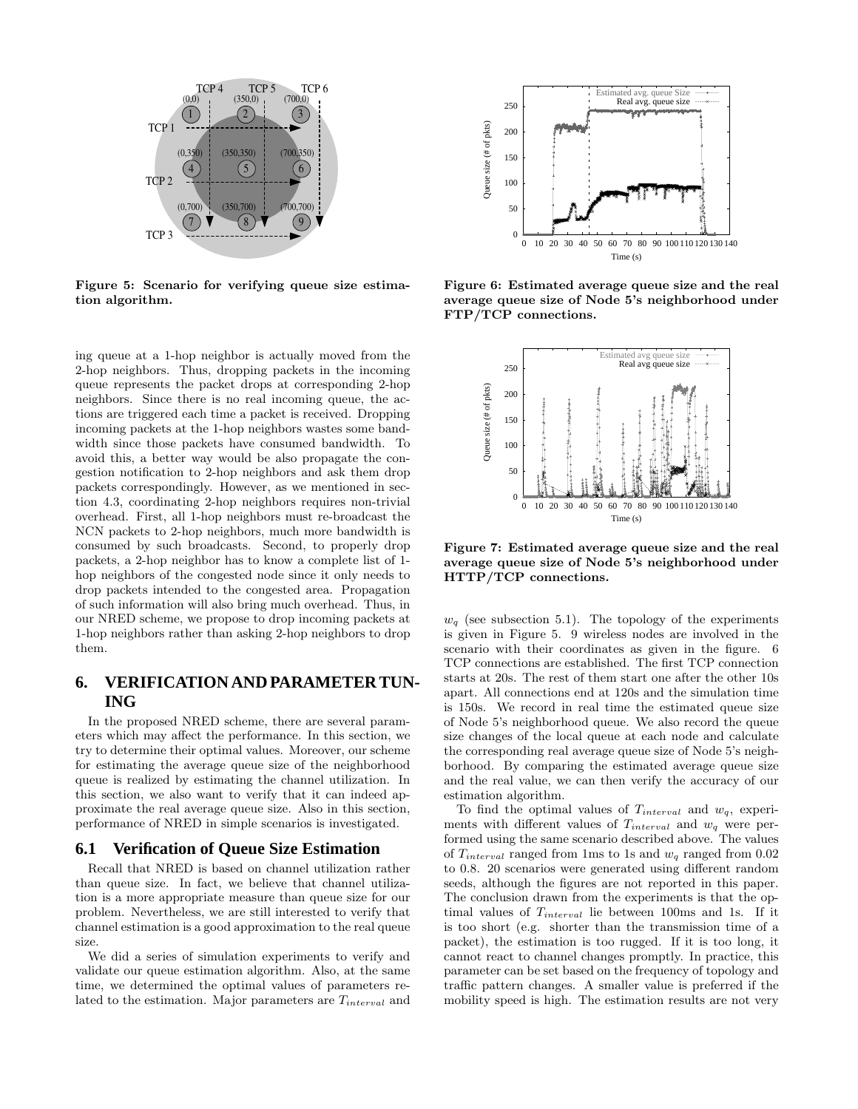

Figure 5: Scenario for verifying queue size estimation algorithm.

ing queue at a 1-hop neighbor is actually moved from the 2-hop neighbors. Thus, dropping packets in the incoming queue represents the packet drops at corresponding 2-hop neighbors. Since there is no real incoming queue, the actions are triggered each time a packet is received. Dropping incoming packets at the 1-hop neighbors wastes some bandwidth since those packets have consumed bandwidth. To avoid this, a better way would be also propagate the congestion notification to 2-hop neighbors and ask them drop packets correspondingly. However, as we mentioned in section 4.3, coordinating 2-hop neighbors requires non-trivial overhead. First, all 1-hop neighbors must re-broadcast the NCN packets to 2-hop neighbors, much more bandwidth is consumed by such broadcasts. Second, to properly drop packets, a 2-hop neighbor has to know a complete list of 1 hop neighbors of the congested node since it only needs to drop packets intended to the congested area. Propagation of such information will also bring much overhead. Thus, in our NRED scheme, we propose to drop incoming packets at 1-hop neighbors rather than asking 2-hop neighbors to drop them.

# **6. VERIFICATION AND PARAMETER TUN-ING**

In the proposed NRED scheme, there are several parameters which may affect the performance. In this section, we try to determine their optimal values. Moreover, our scheme for estimating the average queue size of the neighborhood queue is realized by estimating the channel utilization. In this section, we also want to verify that it can indeed approximate the real average queue size. Also in this section, performance of NRED in simple scenarios is investigated.

### **6.1 Verification of Queue Size Estimation**

Recall that NRED is based on channel utilization rather than queue size. In fact, we believe that channel utilization is a more appropriate measure than queue size for our problem. Nevertheless, we are still interested to verify that channel estimation is a good approximation to the real queue size.

We did a series of simulation experiments to verify and validate our queue estimation algorithm. Also, at the same time, we determined the optimal values of parameters related to the estimation. Major parameters are  $T_{interval}$  and



Figure 6: Estimated average queue size and the real average queue size of Node 5's neighborhood under FTP/TCP connections.



Figure 7: Estimated average queue size and the real average queue size of Node 5's neighborhood under HTTP/TCP connections.

 $w_q$  (see subsection 5.1). The topology of the experiments is given in Figure 5. 9 wireless nodes are involved in the scenario with their coordinates as given in the figure. 6 TCP connections are established. The first TCP connection starts at 20s. The rest of them start one after the other 10s apart. All connections end at 120s and the simulation time is 150s. We record in real time the estimated queue size of Node 5's neighborhood queue. We also record the queue size changes of the local queue at each node and calculate the corresponding real average queue size of Node 5's neighborhood. By comparing the estimated average queue size and the real value, we can then verify the accuracy of our estimation algorithm.

To find the optimal values of  $T_{interval}$  and  $w_q$ , experiments with different values of  $T_{interval}$  and  $w_q$  were performed using the same scenario described above. The values of  $T_{interval}$  ranged from 1ms to 1s and  $w_q$  ranged from 0.02 to 0.8. 20 scenarios were generated using different random seeds, although the figures are not reported in this paper. The conclusion drawn from the experiments is that the optimal values of  $T_{interval}$  lie between 100ms and 1s. If it is too short (e.g. shorter than the transmission time of a packet), the estimation is too rugged. If it is too long, it cannot react to channel changes promptly. In practice, this parameter can be set based on the frequency of topology and traffic pattern changes. A smaller value is preferred if the mobility speed is high. The estimation results are not very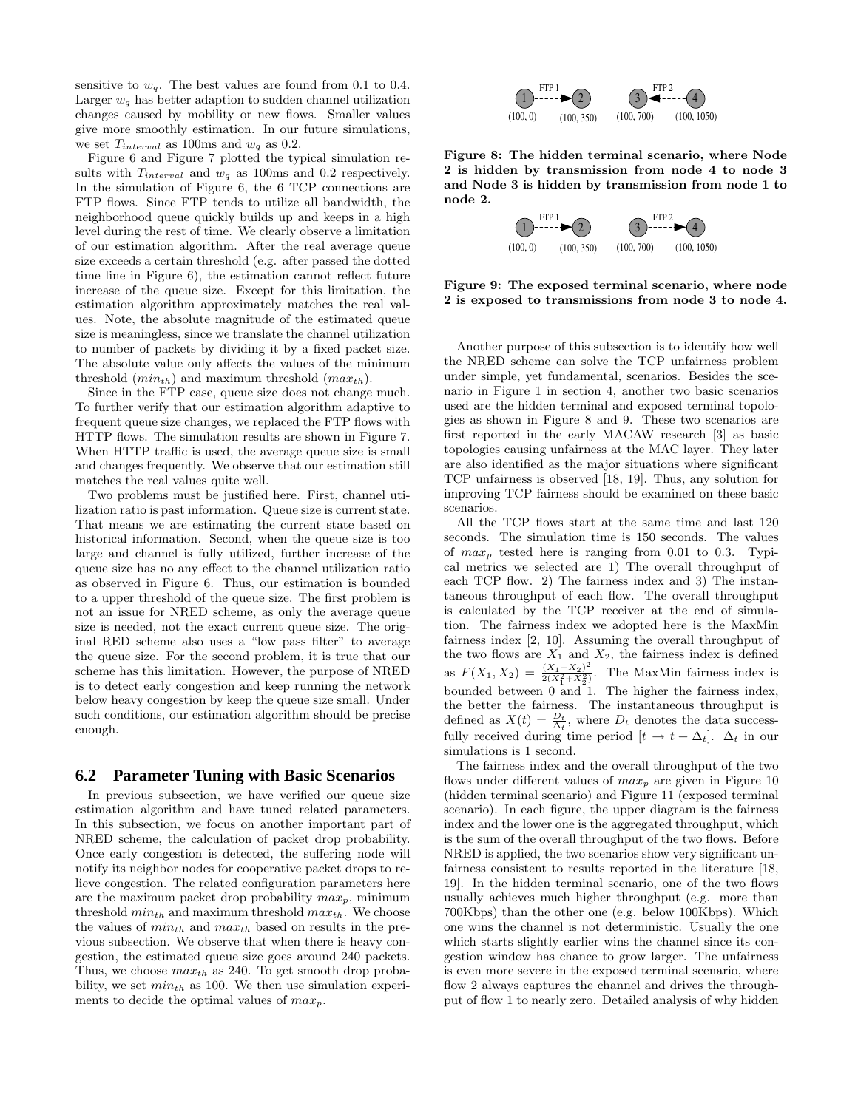sensitive to  $w_q$ . The best values are found from 0.1 to 0.4. Larger  $w_q$  has better adaption to sudden channel utilization changes caused by mobility or new flows. Smaller values give more smoothly estimation. In our future simulations, we set  $T_{interval}$  as 100ms and  $w_q$  as 0.2.

Figure 6 and Figure 7 plotted the typical simulation results with  $T_{interval}$  and  $w_q$  as 100ms and 0.2 respectively. In the simulation of Figure 6, the 6 TCP connections are FTP flows. Since FTP tends to utilize all bandwidth, the neighborhood queue quickly builds up and keeps in a high level during the rest of time. We clearly observe a limitation of our estimation algorithm. After the real average queue size exceeds a certain threshold (e.g. after passed the dotted time line in Figure 6), the estimation cannot reflect future increase of the queue size. Except for this limitation, the estimation algorithm approximately matches the real values. Note, the absolute magnitude of the estimated queue size is meaningless, since we translate the channel utilization to number of packets by dividing it by a fixed packet size. The absolute value only affects the values of the minimum threshold  $(min_{th})$  and maximum threshold  $(max_{th})$ .

Since in the FTP case, queue size does not change much. To further verify that our estimation algorithm adaptive to frequent queue size changes, we replaced the FTP flows with HTTP flows. The simulation results are shown in Figure 7. When HTTP traffic is used, the average queue size is small and changes frequently. We observe that our estimation still matches the real values quite well.

Two problems must be justified here. First, channel utilization ratio is past information. Queue size is current state. That means we are estimating the current state based on historical information. Second, when the queue size is too large and channel is fully utilized, further increase of the queue size has no any effect to the channel utilization ratio as observed in Figure 6. Thus, our estimation is bounded to a upper threshold of the queue size. The first problem is not an issue for NRED scheme, as only the average queue size is needed, not the exact current queue size. The original RED scheme also uses a "low pass filter" to average the queue size. For the second problem, it is true that our scheme has this limitation. However, the purpose of NRED is to detect early congestion and keep running the network below heavy congestion by keep the queue size small. Under such conditions, our estimation algorithm should be precise enough.

### **6.2 Parameter Tuning with Basic Scenarios**

In previous subsection, we have verified our queue size estimation algorithm and have tuned related parameters. In this subsection, we focus on another important part of NRED scheme, the calculation of packet drop probability. Once early congestion is detected, the suffering node will notify its neighbor nodes for cooperative packet drops to relieve congestion. The related configuration parameters here are the maximum packet drop probability  $max_p$ , minimum threshold  $min_{th}$  and maximum threshold  $max_{th}$ . We choose the values of  $min_{th}$  and  $max_{th}$  based on results in the previous subsection. We observe that when there is heavy congestion, the estimated queue size goes around 240 packets. Thus, we choose  $max_{th}$  as 240. To get smooth drop probability, we set  $min_{th}$  as 100. We then use simulation experiments to decide the optimal values of  $max_p$ .



Figure 8: The hidden terminal scenario, where Node 2 is hidden by transmission from node 4 to node 3 and Node 3 is hidden by transmission from node 1 to node 2.



Figure 9: The exposed terminal scenario, where node 2 is exposed to transmissions from node 3 to node 4.

Another purpose of this subsection is to identify how well the NRED scheme can solve the TCP unfairness problem under simple, yet fundamental, scenarios. Besides the scenario in Figure 1 in section 4, another two basic scenarios used are the hidden terminal and exposed terminal topologies as shown in Figure 8 and 9. These two scenarios are first reported in the early MACAW research [3] as basic topologies causing unfairness at the MAC layer. They later are also identified as the major situations where significant TCP unfairness is observed [18, 19]. Thus, any solution for improving TCP fairness should be examined on these basic scenarios.

All the TCP flows start at the same time and last 120 seconds. The simulation time is 150 seconds. The values of  $max_p$  tested here is ranging from 0.01 to 0.3. Typical metrics we selected are 1) The overall throughput of each TCP flow. 2) The fairness index and 3) The instantaneous throughput of each flow. The overall throughput is calculated by the TCP receiver at the end of simulation. The fairness index we adopted here is the MaxMin fairness index [2, 10]. Assuming the overall throughput of the two flows are  $X_1$  and  $X_2$ , the fairness index is defined as  $F(X_1, X_2) = \frac{(X_1 + X_2)^2}{2(X_1^2 + X_2^2)}$  $\frac{(X_1+X_2)}{2(X_1^2+X_2^2)}$ . The MaxMin fairness index is bounded between 0 and 1. The higher the fairness index, the better the fairness. The instantaneous throughput is defined as  $X(t) = \frac{D_t}{\Delta_t}$ , where  $D_t$  denotes the data successfully received during time period  $[t \rightarrow t + \Delta_t]$ .  $\Delta_t$  in our simulations is 1 second.

The fairness index and the overall throughput of the two flows under different values of  $max_p$  are given in Figure 10 (hidden terminal scenario) and Figure 11 (exposed terminal scenario). In each figure, the upper diagram is the fairness index and the lower one is the aggregated throughput, which is the sum of the overall throughput of the two flows. Before NRED is applied, the two scenarios show very significant unfairness consistent to results reported in the literature [18, 19]. In the hidden terminal scenario, one of the two flows usually achieves much higher throughput (e.g. more than 700Kbps) than the other one (e.g. below 100Kbps). Which one wins the channel is not deterministic. Usually the one which starts slightly earlier wins the channel since its congestion window has chance to grow larger. The unfairness is even more severe in the exposed terminal scenario, where flow 2 always captures the channel and drives the throughput of flow 1 to nearly zero. Detailed analysis of why hidden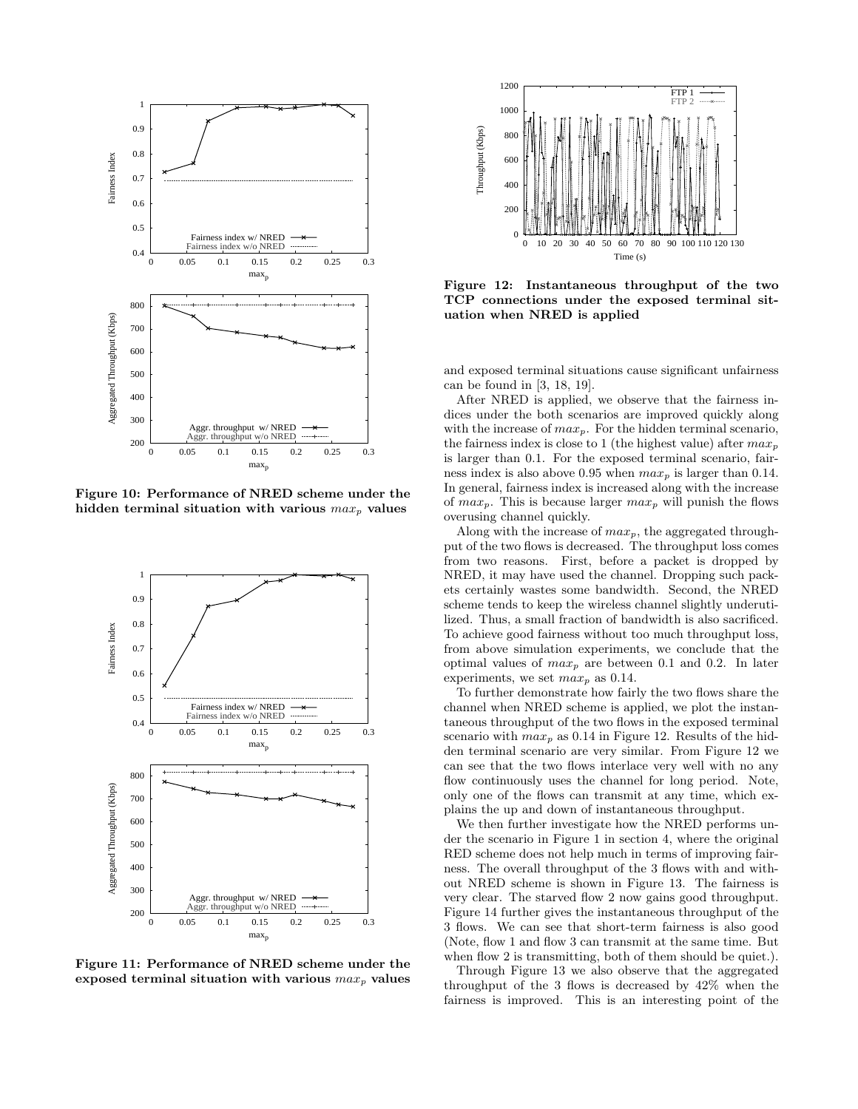

Figure 10: Performance of NRED scheme under the hidden terminal situation with various  $max<sub>p</sub>$  values



Figure 11: Performance of NRED scheme under the exposed terminal situation with various  $max_p$  values



Figure 12: Instantaneous throughput of the two TCP connections under the exposed terminal situation when NRED is applied

and exposed terminal situations cause significant unfairness can be found in [3, 18, 19].

After NRED is applied, we observe that the fairness indices under the both scenarios are improved quickly along with the increase of  $max_p$ . For the hidden terminal scenario, the fairness index is close to 1 (the highest value) after  $max_p$ is larger than 0.1. For the exposed terminal scenario, fairness index is also above 0.95 when  $max_p$  is larger than 0.14. In general, fairness index is increased along with the increase of  $max_p$ . This is because larger  $max_p$  will punish the flows overusing channel quickly.

Along with the increase of  $max_p$ , the aggregated throughput of the two flows is decreased. The throughput loss comes from two reasons. First, before a packet is dropped by NRED, it may have used the channel. Dropping such packets certainly wastes some bandwidth. Second, the NRED scheme tends to keep the wireless channel slightly underutilized. Thus, a small fraction of bandwidth is also sacrificed. To achieve good fairness without too much throughput loss, from above simulation experiments, we conclude that the optimal values of  $max_p$  are between 0.1 and 0.2. In later experiments, we set  $max_p$  as 0.14.

To further demonstrate how fairly the two flows share the channel when NRED scheme is applied, we plot the instantaneous throughput of the two flows in the exposed terminal scenario with  $max_p$  as 0.14 in Figure 12. Results of the hidden terminal scenario are very similar. From Figure 12 we can see that the two flows interlace very well with no any flow continuously uses the channel for long period. Note, only one of the flows can transmit at any time, which explains the up and down of instantaneous throughput.

We then further investigate how the NRED performs under the scenario in Figure 1 in section 4, where the original RED scheme does not help much in terms of improving fairness. The overall throughput of the 3 flows with and without NRED scheme is shown in Figure 13. The fairness is very clear. The starved flow 2 now gains good throughput. Figure 14 further gives the instantaneous throughput of the 3 flows. We can see that short-term fairness is also good (Note, flow 1 and flow 3 can transmit at the same time. But when flow 2 is transmitting, both of them should be quiet.).

Through Figure 13 we also observe that the aggregated throughput of the 3 flows is decreased by 42% when the fairness is improved. This is an interesting point of the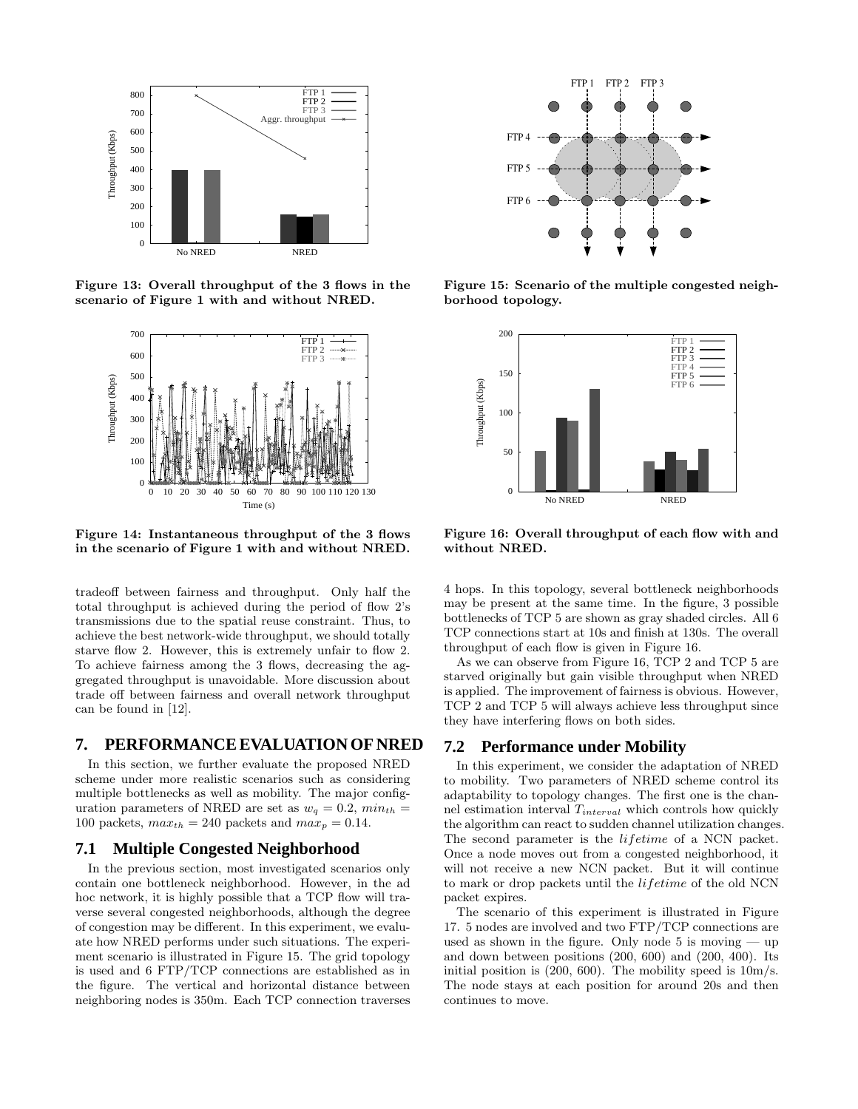

Figure 13: Overall throughput of the 3 flows in the scenario of Figure 1 with and without NRED.



Figure 14: Instantaneous throughput of the 3 flows in the scenario of Figure 1 with and without NRED.

tradeoff between fairness and throughput. Only half the total throughput is achieved during the period of flow 2's transmissions due to the spatial reuse constraint. Thus, to achieve the best network-wide throughput, we should totally starve flow 2. However, this is extremely unfair to flow 2. To achieve fairness among the 3 flows, decreasing the aggregated throughput is unavoidable. More discussion about trade off between fairness and overall network throughput can be found in [12].

### **7. PERFORMANCE EVALUATION OF NRED**

In this section, we further evaluate the proposed NRED scheme under more realistic scenarios such as considering multiple bottlenecks as well as mobility. The major configuration parameters of NRED are set as  $w_q = 0.2$ ,  $min_{th} =$ 100 packets,  $max_{th} = 240$  packets and  $max_p = 0.14$ .

#### **7.1 Multiple Congested Neighborhood**

In the previous section, most investigated scenarios only contain one bottleneck neighborhood. However, in the ad hoc network, it is highly possible that a TCP flow will traverse several congested neighborhoods, although the degree of congestion may be different. In this experiment, we evaluate how NRED performs under such situations. The experiment scenario is illustrated in Figure 15. The grid topology is used and 6 FTP/TCP connections are established as in the figure. The vertical and horizontal distance between neighboring nodes is 350m. Each TCP connection traverses



Figure 15: Scenario of the multiple congested neighborhood topology.



Figure 16: Overall throughput of each flow with and without NRED.

4 hops. In this topology, several bottleneck neighborhoods may be present at the same time. In the figure, 3 possible bottlenecks of TCP 5 are shown as gray shaded circles. All 6 TCP connections start at 10s and finish at 130s. The overall throughput of each flow is given in Figure 16.

As we can observe from Figure 16, TCP 2 and TCP 5 are starved originally but gain visible throughput when NRED is applied. The improvement of fairness is obvious. However, TCP 2 and TCP 5 will always achieve less throughput since they have interfering flows on both sides.

# **7.2 Performance under Mobility**

In this experiment, we consider the adaptation of NRED to mobility. Two parameters of NRED scheme control its adaptability to topology changes. The first one is the channel estimation interval  $T_{interval}$  which controls how quickly the algorithm can react to sudden channel utilization changes. The second parameter is the lifetime of a NCN packet. Once a node moves out from a congested neighborhood, it will not receive a new NCN packet. But it will continue to mark or drop packets until the lifetime of the old NCN packet expires.

The scenario of this experiment is illustrated in Figure 17. 5 nodes are involved and two FTP/TCP connections are used as shown in the figure. Only node 5 is moving — up and down between positions (200, 600) and (200, 400). Its initial position is  $(200, 600)$ . The mobility speed is  $10 \text{m/s}$ . The node stays at each position for around 20s and then continues to move.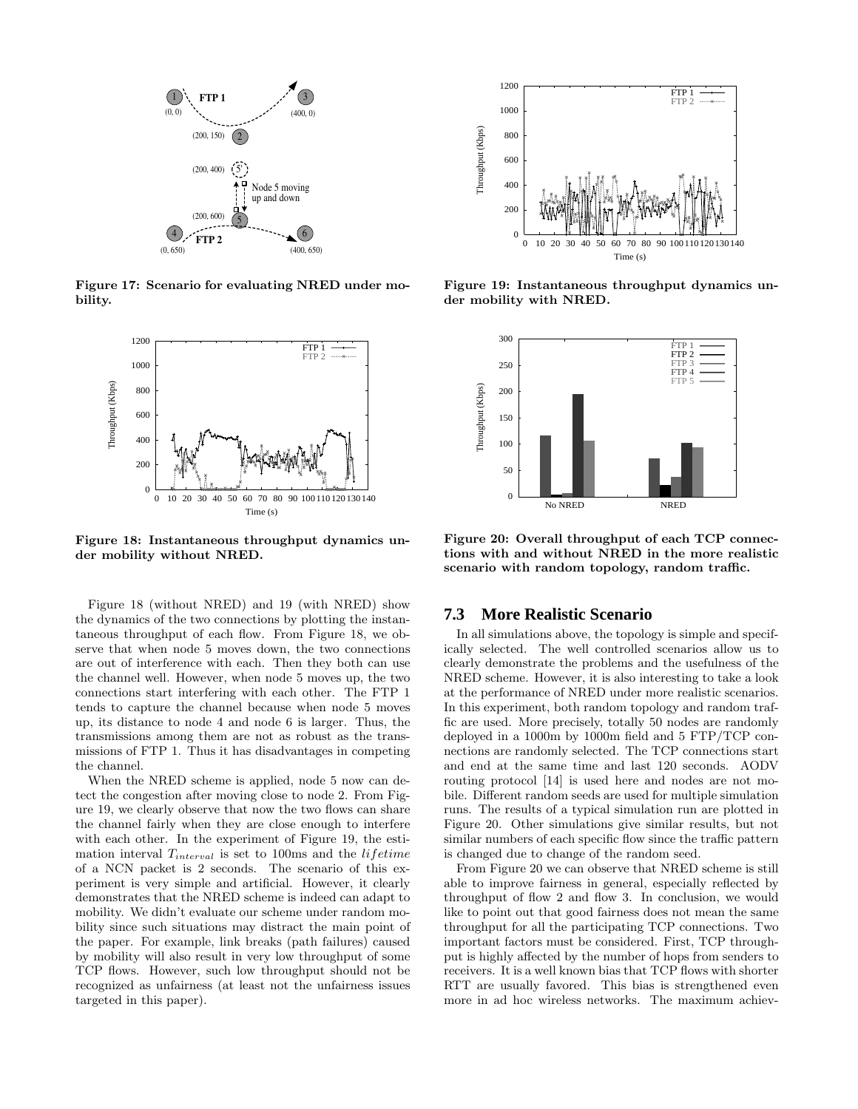

Figure 17: Scenario for evaluating NRED under mobility.



Figure 18: Instantaneous throughput dynamics under mobility without NRED.

Figure 18 (without NRED) and 19 (with NRED) show the dynamics of the two connections by plotting the instantaneous throughput of each flow. From Figure 18, we observe that when node 5 moves down, the two connections are out of interference with each. Then they both can use the channel well. However, when node 5 moves up, the two connections start interfering with each other. The FTP 1 tends to capture the channel because when node 5 moves up, its distance to node 4 and node 6 is larger. Thus, the transmissions among them are not as robust as the transmissions of FTP 1. Thus it has disadvantages in competing the channel.

When the NRED scheme is applied, node 5 now can detect the congestion after moving close to node 2. From Figure 19, we clearly observe that now the two flows can share the channel fairly when they are close enough to interfere with each other. In the experiment of Figure 19, the estimation interval  $T_{interval}$  is set to 100ms and the *lifetime* of a NCN packet is 2 seconds. The scenario of this experiment is very simple and artificial. However, it clearly demonstrates that the NRED scheme is indeed can adapt to mobility. We didn't evaluate our scheme under random mobility since such situations may distract the main point of the paper. For example, link breaks (path failures) caused by mobility will also result in very low throughput of some TCP flows. However, such low throughput should not be recognized as unfairness (at least not the unfairness issues targeted in this paper).



Figure 19: Instantaneous throughput dynamics under mobility with NRED.



Figure 20: Overall throughput of each TCP connections with and without NRED in the more realistic scenario with random topology, random traffic.

# **7.3 More Realistic Scenario**

In all simulations above, the topology is simple and specifically selected. The well controlled scenarios allow us to clearly demonstrate the problems and the usefulness of the NRED scheme. However, it is also interesting to take a look at the performance of NRED under more realistic scenarios. In this experiment, both random topology and random traffic are used. More precisely, totally 50 nodes are randomly deployed in a 1000m by 1000m field and 5 FTP/TCP connections are randomly selected. The TCP connections start and end at the same time and last 120 seconds. AODV routing protocol [14] is used here and nodes are not mobile. Different random seeds are used for multiple simulation runs. The results of a typical simulation run are plotted in Figure 20. Other simulations give similar results, but not similar numbers of each specific flow since the traffic pattern is changed due to change of the random seed.

From Figure 20 we can observe that NRED scheme is still able to improve fairness in general, especially reflected by throughput of flow 2 and flow 3. In conclusion, we would like to point out that good fairness does not mean the same throughput for all the participating TCP connections. Two important factors must be considered. First, TCP throughput is highly affected by the number of hops from senders to receivers. It is a well known bias that TCP flows with shorter RTT are usually favored. This bias is strengthened even more in ad hoc wireless networks. The maximum achiev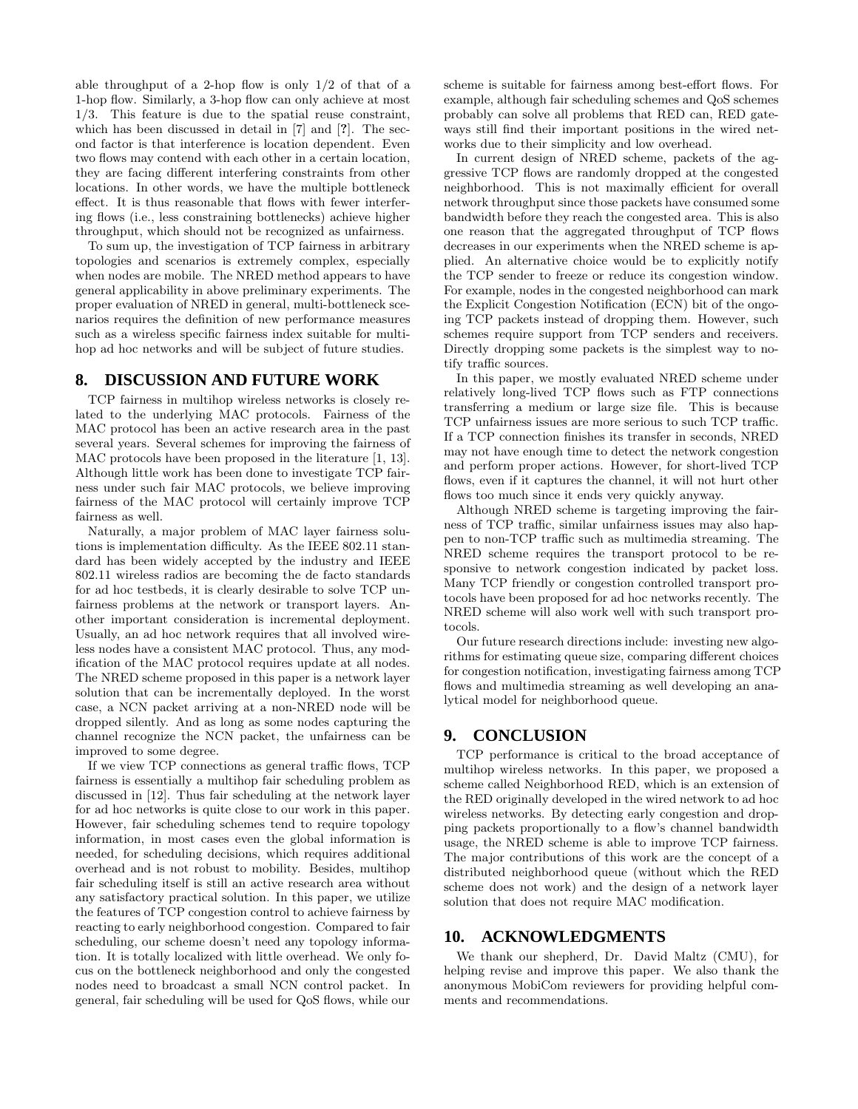able throughput of a 2-hop flow is only  $1/2$  of that of a 1-hop flow. Similarly, a 3-hop flow can only achieve at most 1/3. This feature is due to the spatial reuse constraint, which has been discussed in detail in [7] and [?]. The second factor is that interference is location dependent. Even two flows may contend with each other in a certain location, they are facing different interfering constraints from other locations. In other words, we have the multiple bottleneck effect. It is thus reasonable that flows with fewer interfering flows (i.e., less constraining bottlenecks) achieve higher throughput, which should not be recognized as unfairness.

To sum up, the investigation of TCP fairness in arbitrary topologies and scenarios is extremely complex, especially when nodes are mobile. The NRED method appears to have general applicability in above preliminary experiments. The proper evaluation of NRED in general, multi-bottleneck scenarios requires the definition of new performance measures such as a wireless specific fairness index suitable for multihop ad hoc networks and will be subject of future studies.

# **8. DISCUSSION AND FUTURE WORK**

TCP fairness in multihop wireless networks is closely related to the underlying MAC protocols. Fairness of the MAC protocol has been an active research area in the past several years. Several schemes for improving the fairness of MAC protocols have been proposed in the literature [1, 13]. Although little work has been done to investigate TCP fairness under such fair MAC protocols, we believe improving fairness of the MAC protocol will certainly improve TCP fairness as well.

Naturally, a major problem of MAC layer fairness solutions is implementation difficulty. As the IEEE 802.11 standard has been widely accepted by the industry and IEEE 802.11 wireless radios are becoming the de facto standards for ad hoc testbeds, it is clearly desirable to solve TCP unfairness problems at the network or transport layers. Another important consideration is incremental deployment. Usually, an ad hoc network requires that all involved wireless nodes have a consistent MAC protocol. Thus, any modification of the MAC protocol requires update at all nodes. The NRED scheme proposed in this paper is a network layer solution that can be incrementally deployed. In the worst case, a NCN packet arriving at a non-NRED node will be dropped silently. And as long as some nodes capturing the channel recognize the NCN packet, the unfairness can be improved to some degree.

If we view TCP connections as general traffic flows, TCP fairness is essentially a multihop fair scheduling problem as discussed in [12]. Thus fair scheduling at the network layer for ad hoc networks is quite close to our work in this paper. However, fair scheduling schemes tend to require topology information, in most cases even the global information is needed, for scheduling decisions, which requires additional overhead and is not robust to mobility. Besides, multihop fair scheduling itself is still an active research area without any satisfactory practical solution. In this paper, we utilize the features of TCP congestion control to achieve fairness by reacting to early neighborhood congestion. Compared to fair scheduling, our scheme doesn't need any topology information. It is totally localized with little overhead. We only focus on the bottleneck neighborhood and only the congested nodes need to broadcast a small NCN control packet. In general, fair scheduling will be used for QoS flows, while our scheme is suitable for fairness among best-effort flows. For example, although fair scheduling schemes and QoS schemes probably can solve all problems that RED can, RED gateways still find their important positions in the wired networks due to their simplicity and low overhead.

In current design of NRED scheme, packets of the aggressive TCP flows are randomly dropped at the congested neighborhood. This is not maximally efficient for overall network throughput since those packets have consumed some bandwidth before they reach the congested area. This is also one reason that the aggregated throughput of TCP flows decreases in our experiments when the NRED scheme is applied. An alternative choice would be to explicitly notify the TCP sender to freeze or reduce its congestion window. For example, nodes in the congested neighborhood can mark the Explicit Congestion Notification (ECN) bit of the ongoing TCP packets instead of dropping them. However, such schemes require support from TCP senders and receivers. Directly dropping some packets is the simplest way to notify traffic sources.

In this paper, we mostly evaluated NRED scheme under relatively long-lived TCP flows such as FTP connections transferring a medium or large size file. This is because TCP unfairness issues are more serious to such TCP traffic. If a TCP connection finishes its transfer in seconds, NRED may not have enough time to detect the network congestion and perform proper actions. However, for short-lived TCP flows, even if it captures the channel, it will not hurt other flows too much since it ends very quickly anyway.

Although NRED scheme is targeting improving the fairness of TCP traffic, similar unfairness issues may also happen to non-TCP traffic such as multimedia streaming. The NRED scheme requires the transport protocol to be responsive to network congestion indicated by packet loss. Many TCP friendly or congestion controlled transport protocols have been proposed for ad hoc networks recently. The NRED scheme will also work well with such transport protocols.

Our future research directions include: investing new algorithms for estimating queue size, comparing different choices for congestion notification, investigating fairness among TCP flows and multimedia streaming as well developing an analytical model for neighborhood queue.

# **9. CONCLUSION**

TCP performance is critical to the broad acceptance of multihop wireless networks. In this paper, we proposed a scheme called Neighborhood RED, which is an extension of the RED originally developed in the wired network to ad hoc wireless networks. By detecting early congestion and dropping packets proportionally to a flow's channel bandwidth usage, the NRED scheme is able to improve TCP fairness. The major contributions of this work are the concept of a distributed neighborhood queue (without which the RED scheme does not work) and the design of a network layer solution that does not require MAC modification.

# **10. ACKNOWLEDGMENTS**

We thank our shepherd, Dr. David Maltz (CMU), for helping revise and improve this paper. We also thank the anonymous MobiCom reviewers for providing helpful comments and recommendations.